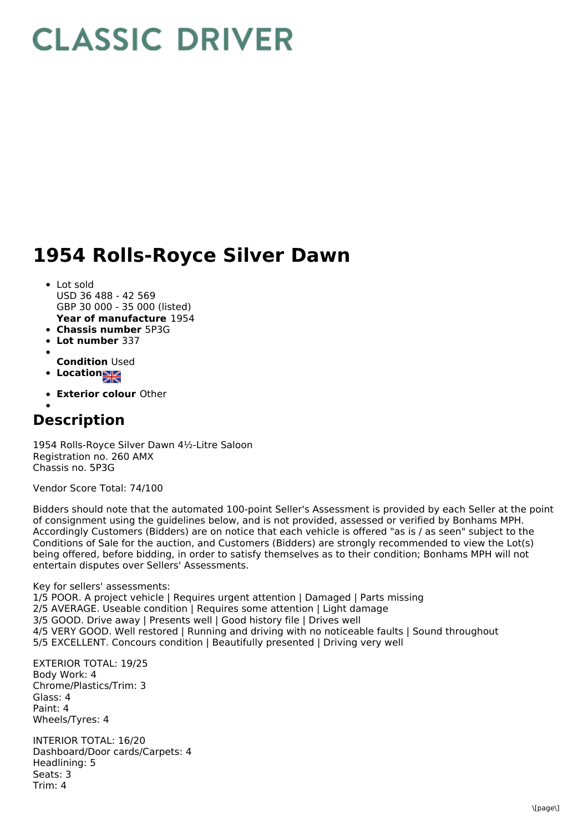## **CLASSIC DRIVER**

## **1954 Rolls-Royce Silver Dawn**

- **Year of manufacture** 1954 Lot sold USD 36 488 - 42 569 GBP 30 000 - 35 000 (listed)
- **Chassis number** 5P3G
- **Lot number** 337
- **Condition** Used
- **Location**
- **Exterior colour** Other

## **Description**

1954 Rolls-Royce Silver Dawn 4½-Litre Saloon Registration no. 260 AMX Chassis no. 5P3G

Vendor Score Total: 74/100

Bidders should note that the automated 100-point Seller's Assessment is provided by each Seller at the point of consignment using the guidelines below, and is not provided, assessed or verified by Bonhams MPH. Accordingly Customers (Bidders) are on notice that each vehicle is offered "as is / as seen" subject to the Conditions of Sale for the auction, and Customers (Bidders) are strongly recommended to view the Lot(s) being offered, before bidding, in order to satisfy themselves as to their condition; Bonhams MPH will not entertain disputes over Sellers' Assessments.

Key for sellers' assessments: 1/5 POOR. A project vehicle | Requires urgent attention | Damaged | Parts missing 2/5 AVERAGE. Useable condition | Requires some attention | Light damage 3/5 GOOD. Drive away | Presents well | Good history file | Drives well 4/5 VERY GOOD. Well restored | Running and driving with no noticeable faults | Sound throughout 5/5 EXCELLENT. Concours condition | Beautifully presented | Driving very well

EXTERIOR TOTAL: 19/25 Body Work: 4 Chrome/Plastics/Trim: 3 Glass: 4 Paint: 4 Wheels/Tyres: 4

INTERIOR TOTAL: 16/20 Dashboard/Door cards/Carpets: 4 Headlining: 5 Seats: 3 Trim: 4